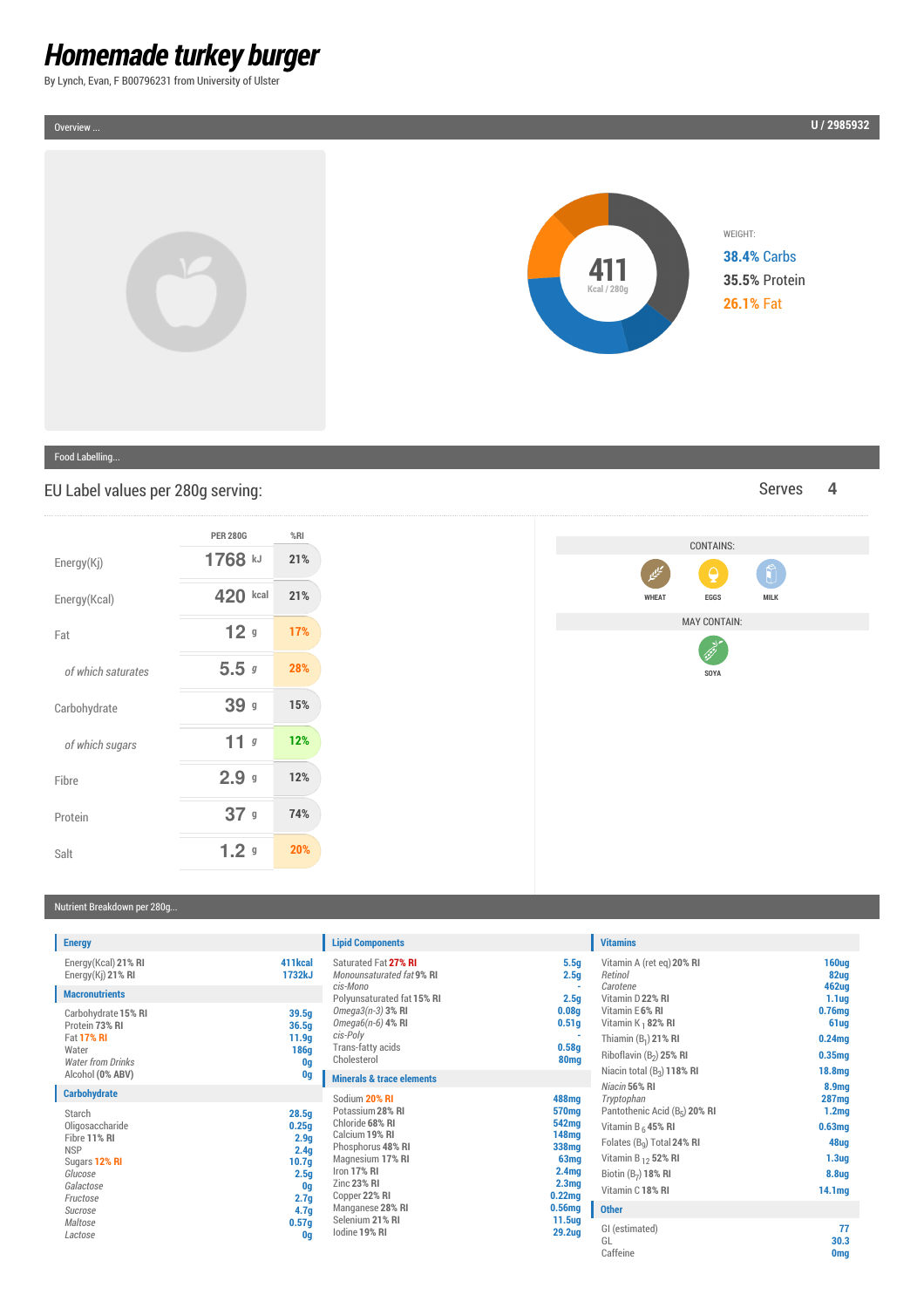## *Homemade turkey burger*

By Lynch, Evan, F B00796231 from University of Ulster

WEIGHT:

Food Labelling...

Overview ...

EU Label values per 280g serving: Serves **4** 

|                         | <b>PER 280G</b>  | %RI |
|-------------------------|------------------|-----|
| Energy(K <sub>i</sub> ) | 1768 kJ          | 21% |
| Energy(Kcal)            | 420<br>kcal      | 21% |
| Fat                     | 12 <sub>9</sub>  | 17% |
| of which saturates      | 5.5g             | 28% |
| Carbohydrate            | 39 g             | 15% |
| of which sugars         | 11 <sub>g</sub>  | 12% |
| Fibre                   | 2.9 <sub>9</sub> | 12% |
| Protein                 | 37 g             | 74% |
| Salt                    | 1.2 <sub>9</sub> | 20% |

# **WHEAT EGGS MILK** MAY CONTAIN: **Call Contract SOYA**

CONTAINS:

### Nutrient Breakdown per 280g...

| <b>Energy</b>                                                         |                                            | <b>Lipid Components</b>                               |                                        | <b>Vitamins</b>                                                    |                                         |
|-----------------------------------------------------------------------|--------------------------------------------|-------------------------------------------------------|----------------------------------------|--------------------------------------------------------------------|-----------------------------------------|
| Energy(Kcal) 21% RI<br>Energy $(Ki)$ 21% RI                           | 411kcal<br>1732kJ                          | Saturated Fat 27% RI<br>Monounsaturated fat 9% RI     | 5.5g<br>2.5 <sub>g</sub>               | Vitamin A (ret eq) 20% RI<br>Retinol                               | <b>160ug</b><br>82ug                    |
| <b>Macronutrients</b>                                                 |                                            | cis-Mono<br>Polyunsaturated fat 15% RI                | 2.5 <sub>g</sub>                       | Carotene<br>Vitamin D 22% RI                                       | 462ug<br>1.1 <sub>uq</sub>              |
| Carbohydrate 15% RI<br>Protein 73% RI                                 | 39.5q<br>36.5q                             | $Omega3(n-3)$ 3% RI<br>Omega $6(n-6)$ 4% RI           | 0.08 <sub>g</sub><br>0.51 <sub>g</sub> | Vitamin E6% RI<br>Vitamin $K_1$ 82% RI                             | 0.76mg<br>61 <sub>ug</sub>              |
| <b>Fat 17% RI</b><br>Water<br><b>Water from Drinks</b>                | 11.9 <sub>g</sub><br>186g<br>0g            | cis-Poly<br>Trans-fatty acids<br>Cholesterol          | 0.58q<br>80 <sub>mq</sub>              | Thiamin $(B_1)$ 21% RI<br>Riboflavin (B <sub>2</sub> ) 25% RI      | 0.24mg<br>0.35mg                        |
| Alcohol (0% ABV)                                                      | 0g                                         | <b>Minerals &amp; trace elements</b>                  |                                        | Niacin total $(B_2)$ 118% RI                                       | 18.8mg                                  |
| <b>Carbohydrate</b>                                                   |                                            | Sodium 20% RI                                         | 488mg                                  | Niacin 56% RI<br>Tryptophan                                        | 8.9 <sub>mg</sub><br><b>287mg</b>       |
| Starch<br>Oligosaccharide<br>Fibre 11% RI                             | 28.5q<br>0.25g                             | Potassium 28% RI<br>Chloride 68% RI<br>Calcium 19% RI | 570mg<br>542mg<br>148mg                | Pantothenic Acid (B <sub>5</sub> ) 20% RI<br>Vitamin B $_6$ 45% RI | 1.2 <sub>mg</sub><br>0.63 <sub>mq</sub> |
| <b>NSP</b>                                                            | 2.9 <sub>g</sub><br>2.4q                   | Phosphorus 48% RI                                     | 338mg                                  | Folates (B <sub>o</sub> ) Total 24% RI                             | 48ug                                    |
| Sugars 12% RI                                                         | 10.7 <sub>q</sub>                          | Magnesium 17% RI<br>Iron 17% RI                       | 63 <sub>mq</sub><br>2.4 <sub>mg</sub>  | Vitamin B <sub>12</sub> 52% RI                                     | 1.3 <sub>ug</sub>                       |
| Glucose<br>Galactose<br>Fructose                                      | 2.5 <sub>g</sub><br>0g<br>2.7 <sub>g</sub> | Zinc 23% RI<br>Copper 22% RI                          | 2.3 <sub>mg</sub><br>0.22mg            | Biotin $(B7)$ 18% RI<br>Vitamin C 18% RI                           | 8.8ug<br>14.1 <sub>mg</sub>             |
| Sucrose                                                               | 4.7 <sub>g</sub>                           | Manganese 28% RI                                      | 0.56mg                                 | <b>Other</b>                                                       |                                         |
| Selenium 21% RI<br>Maltose<br>0.57g<br>lodine 19% RI<br>Lactose<br>0g |                                            | 11.5 <sub>ug</sub><br><b>29.2ug</b>                   | GI (estimated)<br>GL<br>Caffeine       | 77<br>30.3<br><b>Omg</b>                                           |                                         |



**U / 2985932**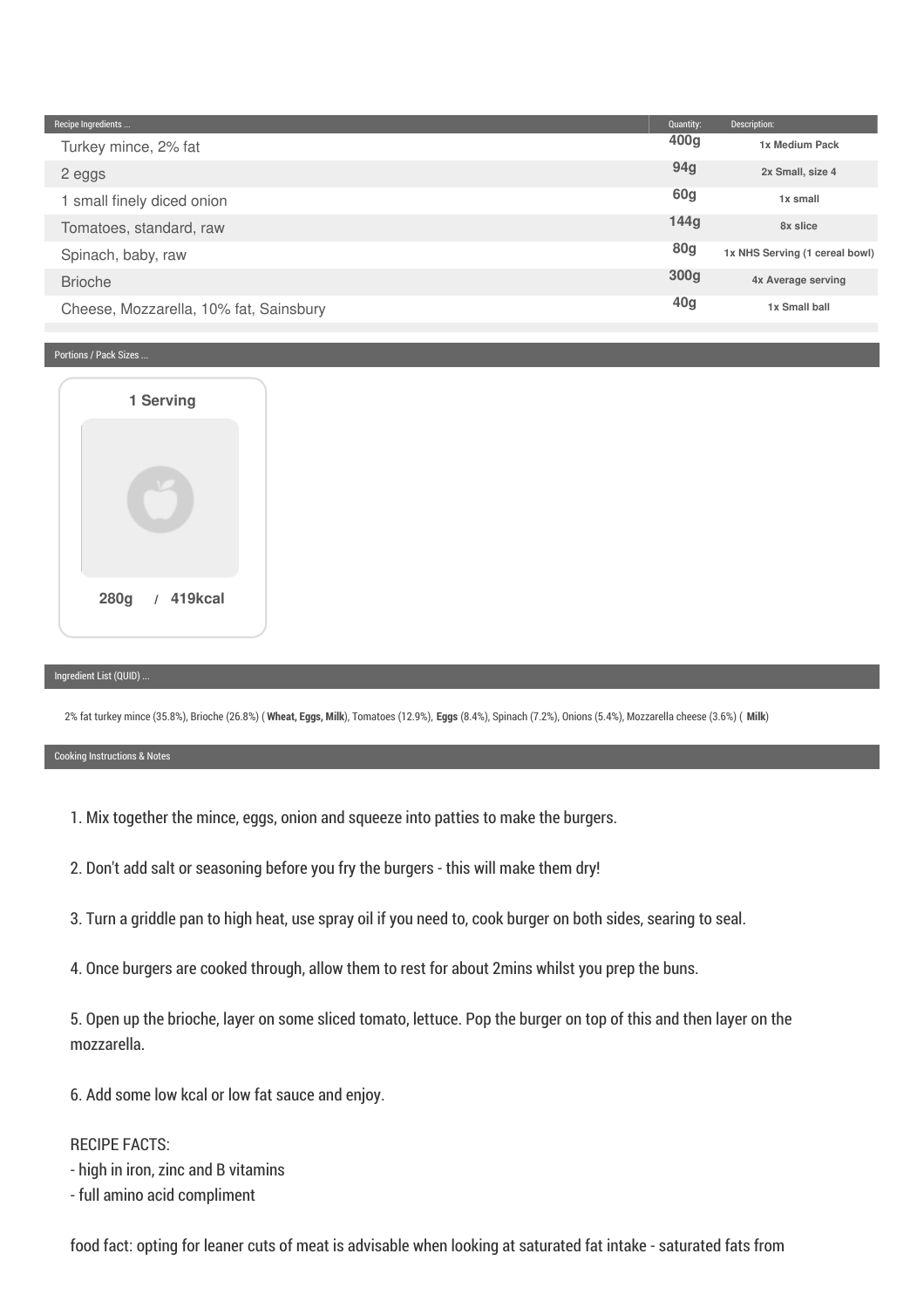| Recipe Ingredients                     | Quantity:        | Description:                   |
|----------------------------------------|------------------|--------------------------------|
| Turkey mince, 2% fat                   | 400 <sub>q</sub> | 1x Medium Pack                 |
| 2 eggs                                 | 94g              | 2x Small, size 4               |
| 1 small finely diced onion             | 60g              | 1x small                       |
| Tomatoes, standard, raw                | 144g             | 8x slice                       |
| Spinach, baby, raw                     | <b>80g</b>       | 1x NHS Serving (1 cereal bowl) |
| <b>Brioche</b>                         | 300 <sub>g</sub> | 4x Average serving             |
| Cheese, Mozzarella, 10% fat, Sainsbury | 40 <sub>g</sub>  | 1x Small ball                  |

#### Portions / Pack Sizes ...

| 1 Serving      |  |
|----------------|--|
|                |  |
| 280g / 419kcal |  |

#### Ingredient List (QUID) ...

2% fat turkey mince (35.8%), Brioche (26.8%) ( **Wheat, Eggs, Milk**), Tomatoes (12.9%), **Eggs** (8.4%), Spinach (7.2%), Onions (5.4%), Mozzarella cheese (3.6%) ( **Milk**)

#### Cooking Instructions & Notes

- 1. Mix together the mince, eggs, onion and squeeze into patties to make the burgers.
- 2. Don't add salt or seasoning before you fry the burgers this will make them dry!
- 3. Turn a griddle pan to high heat, use spray oil if you need to, cook burger on both sides, searing to seal.
- 4. Once burgers are cooked through, allow them to rest for about 2mins whilst you prep the buns.

5. Open up the brioche, layer on some sliced tomato, lettuce. Pop the burger on top of this and then layer on the mozzarella.

6. Add some low kcal or low fat sauce and enjoy.

#### RECIPE FACTS:

- high in iron, zinc and B vitamins
- full amino acid compliment

food fact: opting for leaner cuts of meat is advisable when looking at saturated fat intake - saturated fats from